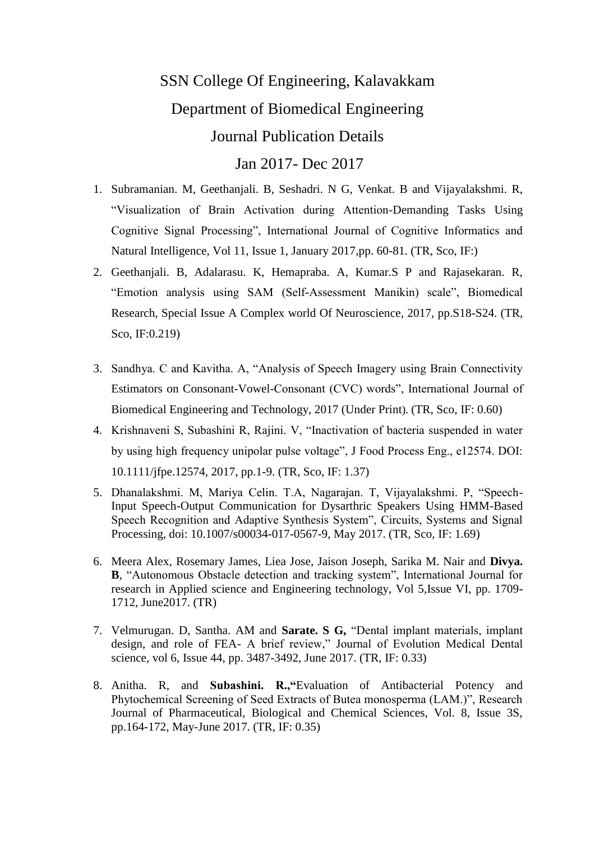## SSN College Of Engineering, Kalavakkam Department of Biomedical Engineering Journal Publication Details Jan 2017- Dec 2017

1. Subramanian. M, Geethanjali. B, Seshadri. N G, Venkat. B and Vijayalakshmi. R, "Visualization of Brain Activation during Attention-Demanding Tasks Using Cognitive Signal Processing", International Journal of Cognitive Informatics and Natural Intelligence, Vol 11, Issue 1, January 2017,pp. 60-81. (TR, Sco, IF:)

- 2. Geethanjali. B, Adalarasu. K, Hemapraba. A, Kumar.S P and Rajasekaran. R, "Emotion analysis using SAM (Self-Assessment Manikin) scale", Biomedical Research, Special Issue A Complex world Of Neuroscience, 2017, pp.S18-S24. (TR, Sco, IF:0.219)
- 3. Sandhya. C and Kavitha. A, "Analysis of Speech Imagery using Brain Connectivity Estimators on Consonant-Vowel-Consonant (CVC) words", International Journal of Biomedical Engineering and Technology, 2017 (Under Print). (TR, Sco, IF: 0.60)
- 4. Krishnaveni S, Subashini R, Rajini. V, "Inactivation of bacteria suspended in water by using high frequency unipolar pulse voltage", J Food Process Eng., e12574. DOI: 10.1111/jfpe.12574, 2017, pp.1-9. (TR, Sco, IF: 1.37)
- 5. Dhanalakshmi. M, Mariya Celin. T.A, Nagarajan. T, Vijayalakshmi. P, "Speech-Input Speech-Output Communication for Dysarthric Speakers Using HMM-Based Speech Recognition and Adaptive Synthesis System", Circuits, Systems and Signal Processing, doi: 10.1007/s00034-017-0567-9, May 2017. (TR, Sco, IF: 1.69)
- 6. Meera Alex, Rosemary James, Liea Jose, Jaison Joseph, Sarika M. Nair and **Divya. B**, "Autonomous Obstacle detection and tracking system", International Journal for research in Applied science and Engineering technology, Vol 5,Issue VI, pp. 1709- 1712, June2017. (TR)
- 7. Velmurugan. D, Santha. AM and **Sarate. S G,** "Dental implant materials, implant design, and role of FEA- A brief review," Journal of Evolution Medical Dental science, vol 6, Issue 44, pp. 3487-3492, June 2017. (TR, IF: 0.33)
- 8. Anitha. R, and **Subashini. R.,"**Evaluation of Antibacterial Potency and Phytochemical Screening of Seed Extracts of Butea monosperma (LAM.)", Research Journal of Pharmaceutical, Biological and Chemical Sciences, Vol. 8, Issue 3S, pp.164-172, May-June 2017. (TR, IF: 0.35)